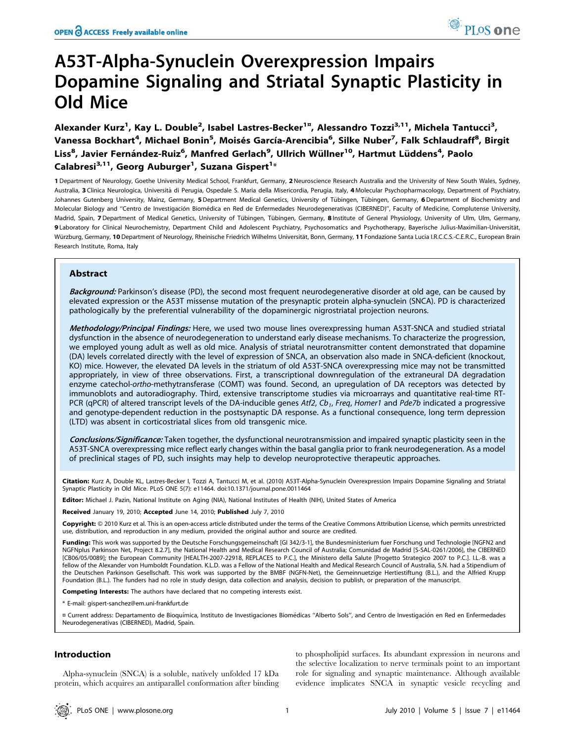# A53T-Alpha-Synuclein Overexpression Impairs Dopamine Signaling and Striatal Synaptic Plasticity in Old Mice

Alexander Kurz<sup>1</sup>, Kay L. Double<sup>2</sup>, Isabel Lastres-Becker<sup>1¤</sup>, Alessandro Tozzi<sup>3,11</sup>, Michela Tantucci<sup>3</sup>, Vanessa Bockhart<sup>4</sup>, Michael Bonin<sup>5</sup>, Moisés García-Arencibia<sup>6</sup>, Silke Nuber<sup>7</sup>, Falk Schlaudraff<sup>8</sup>, Birgit Liss<sup>8</sup>, Javier Fernández-Ruiz<sup>6</sup>, Manfred Gerlach<sup>9</sup>, Ullrich Wüllner<sup>10</sup>, Hartmut Lüddens<sup>4</sup>, Paolo Calabresi $^{3,11}$ , Georg Auburger<sup>1</sup>, Suzana Gispert<sup>1\*</sup>

1 Department of Neurology, Goethe University Medical School, Frankfurt, Germany, 2 Neuroscience Research Australia and the University of New South Wales, Sydney, Australia, 3 Clinica Neurologica, Università di Perugia, Ospedale S. Maria della Misericordia, Perugia, Italy, 4 Molecular Psychopharmacology, Department of Psychiatry, Johannes Gutenberg University, Mainz, Germany, 5Department Medical Genetics, University of Tübingen, Tübingen, Germany, 6Department of Biochemistry and Molecular Biology and "Centro de Investigación Biomédica en Red de Enfermedades Neurodegenerativas (CIBERNED)", Faculty of Medicine, Complutense University, Madrid, Spain, 7 Department of Medical Genetics, University of Tübingen, Tübingen, Germany, 8 Institute of General Physiology, University of Ulm, Ulm, Germany, 9 Laboratory for Clinical Neurochemistry, Department Child and Adolescent Psychiatry, Psychosomatics and Psychotherapy, Bayerische Julius-Maximilian-Universität, Würzburg, Germany, 10 Department of Neurology, Rheinische Friedrich Wilhelms Universität, Bonn, Germany, 11 Fondazione Santa Lucia I.R.C.C.S.-C.E.R.C., European Brain Research Institute, Roma, Italy

# Abstract

Background: Parkinson's disease (PD), the second most frequent neurodegenerative disorder at old age, can be caused by elevated expression or the A53T missense mutation of the presynaptic protein alpha-synuclein (SNCA). PD is characterized pathologically by the preferential vulnerability of the dopaminergic nigrostriatal projection neurons.

Methodology/Principal Findings: Here, we used two mouse lines overexpressing human A53T-SNCA and studied striatal dysfunction in the absence of neurodegeneration to understand early disease mechanisms. To characterize the progression, we employed young adult as well as old mice. Analysis of striatal neurotransmitter content demonstrated that dopamine (DA) levels correlated directly with the level of expression of SNCA, an observation also made in SNCA-deficient (knockout, KO) mice. However, the elevated DA levels in the striatum of old A53T-SNCA overexpressing mice may not be transmitted appropriately, in view of three observations. First, a transcriptional downregulation of the extraneural DA degradation enzyme catechol-ortho-methytransferase (COMT) was found. Second, an upregulation of DA receptors was detected by immunoblots and autoradiography. Third, extensive transcriptome studies via microarrays and quantitative real-time RT-PCR (qPCR) of altered transcript levels of the DA-inducible genes Atf2,  $Cb_1$ , Freq, Homer1 and Pde7b indicated a progressive and genotype-dependent reduction in the postsynaptic DA response. As a functional consequence, long term depression (LTD) was absent in corticostriatal slices from old transgenic mice.

Conclusions/Significance: Taken together, the dysfunctional neurotransmission and impaired synaptic plasticity seen in the A53T-SNCA overexpressing mice reflect early changes within the basal ganglia prior to frank neurodegeneration. As a model of preclinical stages of PD, such insights may help to develop neuroprotective therapeutic approaches.

Citation: Kurz A, Double KL, Lastres-Becker I, Tozzi A, Tantucci M, et al. (2010) A53T-Alpha-Synuclein Overexpression Impairs Dopamine Signaling and Striatal Synaptic Plasticity in Old Mice. PLoS ONE 5(7): e11464. doi:10.1371/journal.pone.0011464

Editor: Michael J. Pazin, National Institute on Aging (NIA), National Institutes of Health (NIH), United States of America

Received January 19, 2010; Accepted June 14, 2010; Published July 7, 2010

Copyright: © 2010 Kurz et al. This is an open-access article distributed under the terms of the Creative Commons Attribution License, which permits unrestricted use, distribution, and reproduction in any medium, provided the original author and source are credited.

Funding: This work was supported by the Deutsche Forschungsgemeinschaft [GI 342/3-1], the Bundesministerium fuer Forschung und Technologie [NGFN2 and NGFNplus Parkinson Net, Project 8.2.7], the National Health and Medical Research Council of Australia; Comunidad de Madrid [S-SAL-0261/2006], the CIBERNED [CB06/05/0089]; the European Community [HEALTH-2007-22918, REPLACES to P.C.], the Ministero della Salute [Progetto Strategico 2007 to P.C.]. I.L.-B. was a fellow of the Alexander von Humboldt Foundation. K.L.D. was a Fellow of the National Health and Medical Research Council of Australia, S.N. had a Stipendium of the Deutschen Parkinson Gesellschaft. This work was supported by the BMBF (NGFN-Net), the Gemeinnuetzige Hertiestiftung (B.L.), and the Alfried Krupp Foundation (B.L.). The funders had no role in study design, data collection and analysis, decision to publish, or preparation of the manuscript.

Competing Interests: The authors have declared that no competing interests exist.

\* E-mail: gispert-sanchez@em.uni-frankfurt.de

¤ Current address: Departamento de Bioquímica, Instituto de Investigaciones Biomédicas "Alberto Sols", and Centro de Investigación en Red en Enfermedades Neurodegenerativas (CIBERNED), Madrid, Spain.

# Introduction

Alpha-synuclein (SNCA) is a soluble, natively unfolded 17 kDa protein, which acquires an antiparallel conformation after binding

to phospholipid surfaces. Its abundant expression in neurons and the selective localization to nerve terminals point to an important role for signaling and synaptic maintenance. Although available evidence implicates SNCA in synaptic vesicle recycling and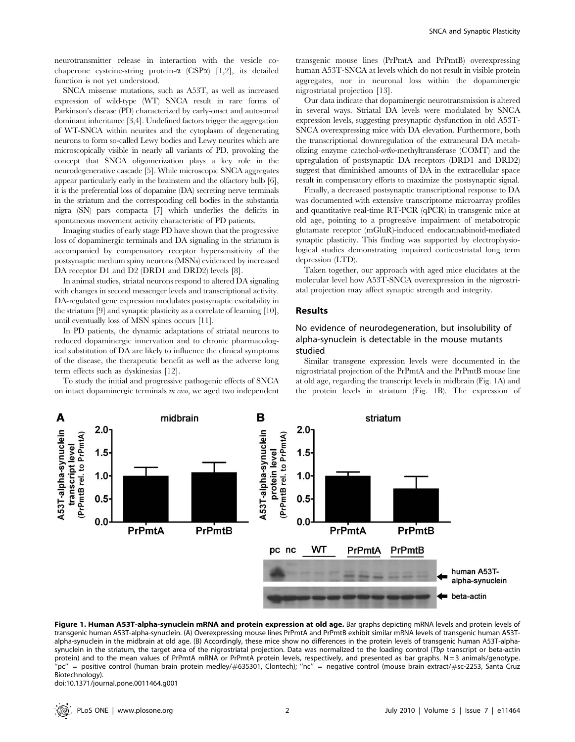neurotransmitter release in interaction with the vesicle cochaperone cysteine-string protein- $\alpha$  (CSP $\alpha$ ) [1,2], its detailed function is not yet understood.

SNCA missense mutations, such as A53T, as well as increased expression of wild-type (WT) SNCA result in rare forms of Parkinson's disease (PD) characterized by early-onset and autosomal dominant inheritance [3,4]. Undefined factors trigger the aggregation of WT-SNCA within neurites and the cytoplasm of degenerating neurons to form so-called Lewy bodies and Lewy neurites which are microscopically visible in nearly all variants of PD, provoking the concept that SNCA oligomerization plays a key role in the neurodegenerative cascade [5]. While microscopic SNCA aggregates appear particularly early in the brainstem and the olfactory bulb [6], it is the preferential loss of dopamine (DA) secreting nerve terminals in the striatum and the corresponding cell bodies in the substantia nigra (SN) pars compacta [7] which underlies the deficits in spontaneous movement activity characteristic of PD patients.

Imaging studies of early stage PD have shown that the progressive loss of dopaminergic terminals and DA signaling in the striatum is accompanied by compensatory receptor hypersensitivity of the postsynaptic medium spiny neurons (MSNs) evidenced by increased DA receptor D1 and D2 (DRD1 and DRD2) levels [8].

In animal studies, striatal neurons respond to altered DA signaling with changes in second messenger levels and transcriptional activity. DA-regulated gene expression modulates postsynaptic excitability in the striatum [9] and synaptic plasticity as a correlate of learning [10], until eventually loss of MSN spines occurs [11].

In PD patients, the dynamic adaptations of striatal neurons to reduced dopaminergic innervation and to chronic pharmacological substitution of DA are likely to influence the clinical symptoms of the disease, the therapeutic benefit as well as the adverse long term effects such as dyskinesias [12].

To study the initial and progressive pathogenic effects of SNCA on intact dopaminergic terminals in vivo, we aged two independent transgenic mouse lines (PrPmtA and PrPmtB) overexpressing human A53T-SNCA at levels which do not result in visible protein aggregates, nor in neuronal loss within the dopaminergic nigrostriatal projection [13].

Our data indicate that dopaminergic neurotransmission is altered in several ways. Striatal DA levels were modulated by SNCA expression levels, suggesting presynaptic dysfunction in old A53T-SNCA overexpressing mice with DA elevation. Furthermore, both the transcriptional downregulation of the extraneural DA metabolizing enzyme catechol-ortho-methyltransferase (COMT) and the upregulation of postsynaptic DA receptors (DRD1 and DRD2) suggest that diminished amounts of DA in the extracellular space result in compensatory efforts to maximize the postsynaptic signal.

Finally, a decreased postsynaptic transcriptional response to DA was documented with extensive transcriptome microarray profiles and quantitative real-time RT-PCR (qPCR) in transgenic mice at old age, pointing to a progressive impairment of metabotropic glutamate receptor (mGluR)-induced endocannabinoid-mediated synaptic plasticity. This finding was supported by electrophysiological studies demonstrating impaired corticostriatal long term depression (LTD).

Taken together, our approach with aged mice elucidates at the molecular level how A53T-SNCA overexpression in the nigrostriatal projection may affect synaptic strength and integrity.

#### Results

# No evidence of neurodegeneration, but insolubility of alpha-synuclein is detectable in the mouse mutants studied

Similar transgene expression levels were documented in the nigrostriatal projection of the PrPmtA and the PrPmtB mouse line at old age, regarding the transcript levels in midbrain (Fig. 1A) and the protein levels in striatum (Fig. 1B). The expression of



Figure 1. Human A53T-alpha-synuclein mRNA and protein expression at old age. Bar graphs depicting mRNA levels and protein levels of transgenic human A53T-alpha-synuclein. (A) Overexpressing mouse lines PrPmtA and PrPmtB exhibit similar mRNA levels of transgenic human A53Talpha-synuclein in the midbrain at old age. (B) Accordingly, these mice show no differences in the protein levels of transgenic human A53T-alphasynuclein in the striatum, the target area of the nigrostriatal projection. Data was normalized to the loading control (Tbp transcript or beta-actin protein) and to the mean values of PrPmtA mRNA or PrPmtA protein levels, respectively, and presented as bar graphs.  $N=3$  animals/genotype. ''pc'' = positive control (human brain protein medley/#635301, Clontech); ''nc'' = negative control (mouse brain extract/#sc-2253, Santa Cruz Biotechnology).

doi:10.1371/journal.pone.0011464.g001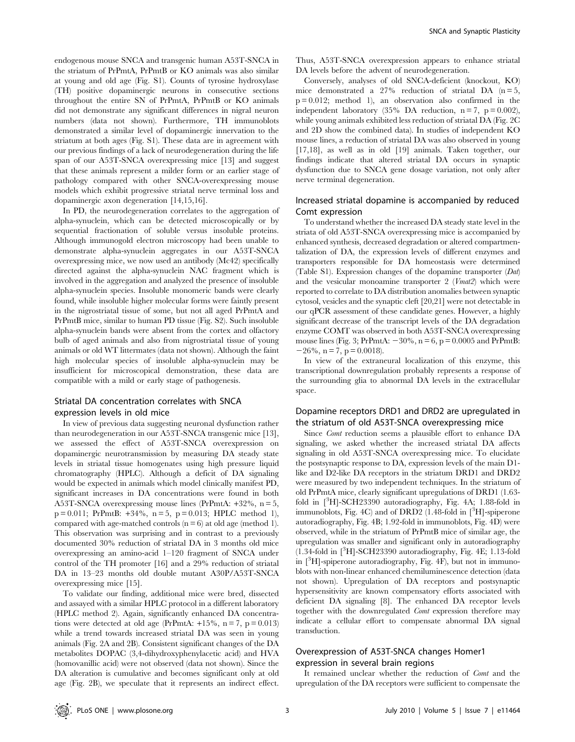endogenous mouse SNCA and transgenic human A53T-SNCA in the striatum of PrPmtA, PrPmtB or KO animals was also similar at young and old age (Fig. S1). Counts of tyrosine hydroxylase (TH) positive dopaminergic neurons in consecutive sections throughout the entire SN of PrPmtA, PrPmtB or KO animals did not demonstrate any significant differences in nigral neuron numbers (data not shown). Furthermore, TH immunoblots demonstrated a similar level of dopaminergic innervation to the striatum at both ages (Fig. S1). These data are in agreement with our previous findings of a lack of neurodegeneration during the life span of our A53T-SNCA overexpressing mice [13] and suggest that these animals represent a milder form or an earlier stage of pathology compared with other SNCA-overexpressing mouse models which exhibit progressive striatal nerve terminal loss and dopaminergic axon degeneration [14,15,16].

In PD, the neurodegeneration correlates to the aggregation of alpha-synuclein, which can be detected microscopically or by sequential fractionation of soluble versus insoluble proteins. Although immunogold electron microscopy had been unable to demonstrate alpha-synuclein aggregates in our A53T-SNCA overexpressing mice, we now used an antibody (Mc42) specifically directed against the alpha-synuclein NAC fragment which is involved in the aggregation and analyzed the presence of insoluble alpha-synuclein species. Insoluble monomeric bands were clearly found, while insoluble higher molecular forms were faintly present in the nigrostriatal tissue of some, but not all aged PrPmtA and PrPmtB mice, similar to human PD tissue (Fig. S2). Such insoluble alpha-synuclein bands were absent from the cortex and olfactory bulb of aged animals and also from nigrostriatal tissue of young animals or old WT littermates (data not shown). Although the faint high molecular species of insoluble alpha-synuclein may be insufficient for microscopical demonstration, these data are compatible with a mild or early stage of pathogenesis.

# Striatal DA concentration correlates with SNCA expression levels in old mice

In view of previous data suggesting neuronal dysfunction rather than neurodegeneration in our A53T-SNCA transgenic mice [13], we assessed the effect of A53T-SNCA overexpression on dopaminergic neurotransmission by measuring DA steady state levels in striatal tissue homogenates using high pressure liquid chromatography (HPLC). Although a deficit of DA signaling would be expected in animals which model clinically manifest PD, significant increases in DA concentrations were found in both A53T-SNCA overexpressing mouse lines (PrPmtA: +32%, n = 5,  $p = 0.011$ ; PrPmtB:  $+34\%$ ,  $n = 5$ ,  $p = 0.013$ ; HPLC method 1), compared with age-matched controls  $(n = 6)$  at old age (method 1). This observation was surprising and in contrast to a previously documented 30% reduction of striatal DA in 3 months old mice overexpressing an amino-acid 1–120 fragment of SNCA under control of the TH promoter [16] and a 29% reduction of striatal DA in 13–23 months old double mutant A30P/A53T-SNCA overexpressing mice [15].

To validate our finding, additional mice were bred, dissected and assayed with a similar HPLC protocol in a different laboratory (HPLC method 2). Again, significantly enhanced DA concentrations were detected at old age (PrPmtA:  $+15\%$ , n = 7, p = 0.013) while a trend towards increased striatal DA was seen in young animals (Fig. 2A and 2B). Consistent significant changes of the DA metabolites DOPAC (3,4-dihydroxyphenylacetic acid) and HVA (homovanillic acid) were not observed (data not shown). Since the DA alteration is cumulative and becomes significant only at old age (Fig. 2B), we speculate that it represents an indirect effect.

Thus, A53T-SNCA overexpression appears to enhance striatal DA levels before the advent of neurodegeneration.

Conversely, analyses of old SNCA-deficient (knockout, KO) mice demonstrated a 27% reduction of striatal DA  $(n=5,$  $p = 0.012$ ; method 1), an observation also confirmed in the independent laboratory (35% DA reduction,  $n = 7$ ,  $p = 0.002$ ), while young animals exhibited less reduction of striatal DA (Fig. 2C and 2D show the combined data). In studies of independent KO mouse lines, a reduction of striatal DA was also observed in young [17,18], as well as in old [19] animals. Taken together, our findings indicate that altered striatal DA occurs in synaptic dysfunction due to SNCA gene dosage variation, not only after nerve terminal degeneration.

# Increased striatal dopamine is accompanied by reduced Comt expression

To understand whether the increased DA steady state level in the striata of old A53T-SNCA overexpressing mice is accompanied by enhanced synthesis, decreased degradation or altered compartmentalization of DA, the expression levels of different enzymes and transporters responsible for DA homeostasis were determined (Table S1). Expression changes of the dopamine transporter (Dat) and the vesicular monoamine transporter 2 (Vmat2) which were reported to correlate to DA distribution anomalies between synaptic cytosol, vesicles and the synaptic cleft [20,21] were not detectable in our qPCR assessment of these candidate genes. However, a highly significant decrease of the transcript levels of the DA degradation enzyme COMT was observed in both A53T-SNCA overexpressing mouse lines (Fig. 3; PrPmtA:  $-30\%$ , n = 6, p = 0.0005 and PrPmtB:  $-26\%$ , n = 7, p = 0.0018).

In view of the extraneural localization of this enzyme, this transcriptional downregulation probably represents a response of the surrounding glia to abnormal DA levels in the extracellular space.

## Dopamine receptors DRD1 and DRD2 are upregulated in the striatum of old A53T-SNCA overexpressing mice

Since Comt reduction seems a plausible effort to enhance DA signaling, we asked whether the increased striatal DA affects signaling in old A53T-SNCA overexpressing mice. To elucidate the postsynaptic response to DA, expression levels of the main D1 like and D2-like DA receptors in the striatum DRD1 and DRD2 were measured by two independent techniques. In the striatum of old PrPmtA mice, clearly significant upregulations of DRD1 (1.63 fold in [<sup>3</sup>H]-SCH23390 autoradiography, Fig. 4A; 1.88-fold in immunoblots, Fig. 4C) and of DRD2 (1.48-fold in [3H]-spiperone autoradiography, Fig. 4B; 1.92-fold in immunoblots, Fig. 4D) were observed, while in the striatum of PrPmtB mice of similar age, the upregulation was smaller and significant only in autoradiography (1.34-fold in [3 H]-SCH23390 autoradiography, Fig. 4E; 1.13-fold in [3 H]-spiperone autoradiography, Fig. 4F), but not in immunoblots with non-linear enhanced chemiluminescence detection (data not shown). Upregulation of DA receptors and postsynaptic hypersensitivity are known compensatory efforts associated with deficient DA signaling [8]. The enhanced DA receptor levels together with the downregulated Comt expression therefore may indicate a cellular effort to compensate abnormal DA signal transduction.

## Overexpression of A53T-SNCA changes Homer1 expression in several brain regions

It remained unclear whether the reduction of Comt and the upregulation of the DA receptors were sufficient to compensate the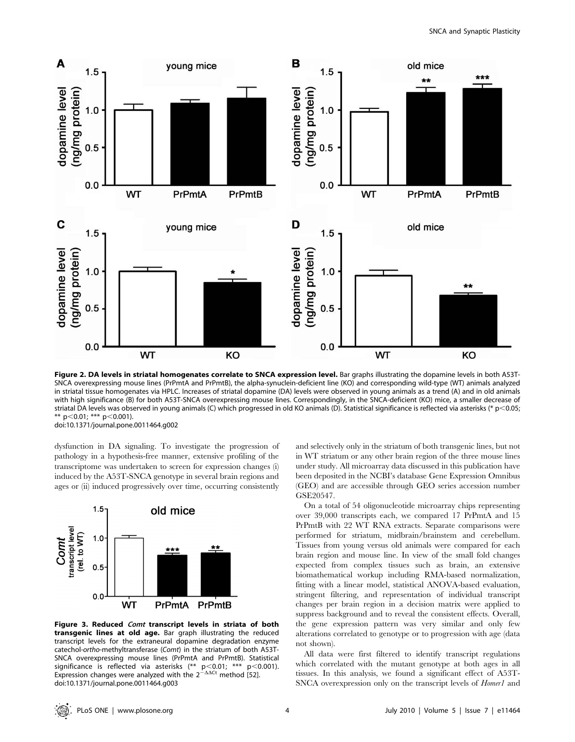

Figure 2. DA levels in striatal homogenates correlate to SNCA expression level. Bar graphs illustrating the dopamine levels in both A53T-SNCA overexpressing mouse lines (PrPmtA and PrPmtB), the alpha-synuclein-deficient line (KO) and corresponding wild-type (WT) animals analyzed in striatal tissue homogenates via HPLC. Increases of striatal dopamine (DA) levels were observed in young animals as a trend (A) and in old animals with high significance (B) for both A53T-SNCA overexpressing mouse lines. Correspondingly, in the SNCA-deficient (KO) mice, a smaller decrease of striatal DA levels was observed in young animals (C) which progressed in old KO animals (D). Statistical significance is reflected via asterisks (\* p<0.05; \*\*  $p<0.01$ ; \*\*\*  $p<0.001$ ). doi:10.1371/journal.pone.0011464.g002

dysfunction in DA signaling. To investigate the progression of pathology in a hypothesis-free manner, extensive profiling of the transcriptome was undertaken to screen for expression changes (i) induced by the A53T-SNCA genotype in several brain regions and ages or (ii) induced progressively over time, occurring consistently



Figure 3. Reduced Comt transcript levels in striata of both transgenic lines at old age. Bar graph illustrating the reduced transcript levels for the extraneural dopamine degradation enzyme catechol-ortho-methyltransferase (Comt) in the striatum of both A53T-SNCA overexpressing mouse lines (PrPmtA and PrPmtB). Statistical significance is reflected via asterisks (\*\* p<0.01; \*\*\* p<0.001).<br>Expression changes were analyzed with the 2<sup>- $\Delta\Delta$ Ct</sup> method [52]. doi:10.1371/journal.pone.0011464.g003

and selectively only in the striatum of both transgenic lines, but not in WT striatum or any other brain region of the three mouse lines under study. All microarray data discussed in this publication have been deposited in the NCBI's database Gene Expression Omnibus (GEO) and are accessible through GEO series accession number GSE20547.

On a total of 54 oligonucleotide microarray chips representing over 39,000 transcripts each, we compared 17 PrPmtA and 15 PrPmtB with 22 WT RNA extracts. Separate comparisons were performed for striatum, midbrain/brainstem and cerebellum. Tissues from young versus old animals were compared for each brain region and mouse line. In view of the small fold changes expected from complex tissues such as brain, an extensive biomathematical workup including RMA-based normalization, fitting with a linear model, statistical ANOVA-based evaluation, stringent filtering, and representation of individual transcript changes per brain region in a decision matrix were applied to suppress background and to reveal the consistent effects. Overall, the gene expression pattern was very similar and only few alterations correlated to genotype or to progression with age (data not shown).

All data were first filtered to identify transcript regulations which correlated with the mutant genotype at both ages in all tissues. In this analysis, we found a significant effect of A53T-SNCA overexpression only on the transcript levels of *Homer1* and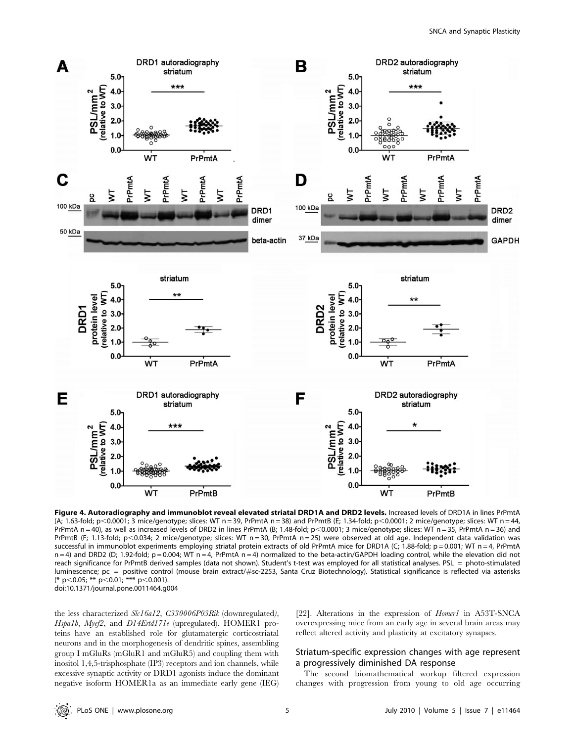

Figure 4. Autoradiography and immunoblot reveal elevated striatal DRD1A and DRD2 levels. Increased levels of DRD1A in lines PrPmtA (A; 1.63-fold; p,0.0001; 3 mice/genotype; slices: WT n = 39, PrPmtA n = 38) and PrPmtB (E; 1.34-fold; p,0.0001; 2 mice/genotype; slices: WT n = 44, PrPmtA n = 40), as well as increased levels of DRD2 in lines PrPmtA (B; 1.48-fold; p<0.0001; 3 mice/genotype; slices: WT n = 35, PrPmtA n = 36) and PrPmtB (F; 1.13-fold; p<0.034; 2 mice/genotype; slices: WT n = 30, PrPmtA n = 25) were observed at old age. Independent data validation was successful in immunoblot experiments employing striatal protein extracts of old PrPmtA mice for DRD1A (C; 1.88-fold;  $p = 0.001$ ; WT n = 4, PrPmtA  $n = 4$ ) and DRD2 (D; 1.92-fold;  $p = 0.004$ ; WT  $n = 4$ , PrPmtA  $n = 4$ ) normalized to the beta-actin/GAPDH loading control, while the elevation did not reach significance for PrPmtB derived samples (data not shown). Student's t-test was employed for all statistical analyses. PSL = photo-stimulated luminescence; pc = positive control (mouse brain extract/#sc-2253, Santa Cruz Biotechnology). Statistical significance is reflected via asterisks (\* p<0.05; \*\* p<0.01; \*\*\* p<0.001). doi:10.1371/journal.pone.0011464.g004

the less characterized Slc16a12, C330006P03Rik (downregulated), Hspa1b, Myef2, and D14Ertd171e (upregulated). HOMER1 proteins have an established role for glutamatergic corticostriatal neurons and in the morphogenesis of dendritic spines, assembling group I mGluRs (mGluR1 and mGluR5) and coupling them with inositol 1,4,5-trisphosphate (IP3) receptors and ion channels, while excessive synaptic activity or DRD1 agonists induce the dominant negative isoform HOMER1a as an immediate early gene (IEG)

[22]. Alterations in the expression of *Homer1* in A53T-SNCA overexpressing mice from an early age in several brain areas may reflect altered activity and plasticity at excitatory synapses.

## Striatum-specific expression changes with age represent a progressively diminished DA response

The second biomathematical workup filtered expression changes with progression from young to old age occurring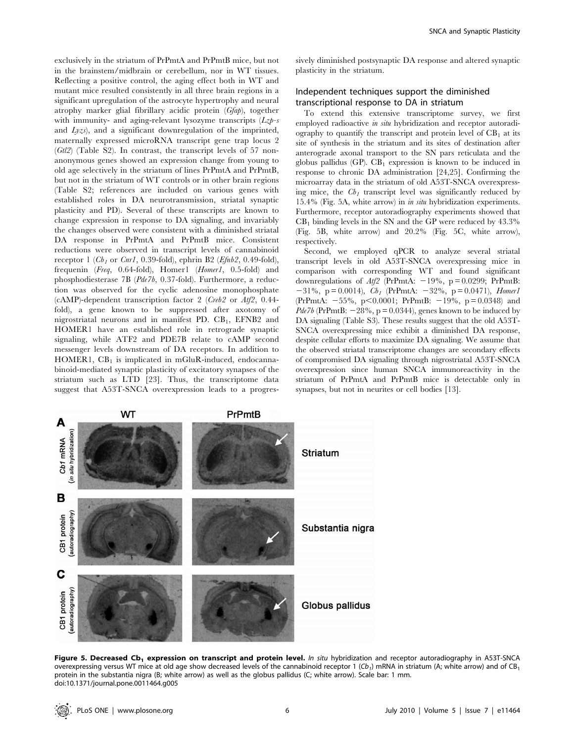exclusively in the striatum of PrPmtA and PrPmtB mice, but not in the brainstem/midbrain or cerebellum, nor in WT tissues. Reflecting a positive control, the aging effect both in WT and mutant mice resulted consistently in all three brain regions in a significant upregulation of the astrocyte hypertrophy and neural atrophy marker glial fibrillary acidic protein (Gfap), together with immunity- and aging-relevant lysozyme transcripts  $(Lz)$ -s and  $Lyzs$ , and a significant downregulation of the imprinted, maternally expressed microRNA transcript gene trap locus 2 (Gtl2) (Table S2). In contrast, the transcript levels of 57 nonanonymous genes showed an expression change from young to old age selectively in the striatum of lines PrPmtA and PrPmtB, but not in the striatum of WT controls or in other brain regions (Table S2; references are included on various genes with established roles in DA neurotransmission, striatal synaptic plasticity and PD). Several of these transcripts are known to change expression in response to DA signaling, and invariably the changes observed were consistent with a diminished striatal DA response in PrPmtA and PrPmtB mice. Consistent reductions were observed in transcript levels of cannabinoid receptor 1 ( $Cb_1$  or Cnr1, 0.39-fold), ephrin B2 (Efnb2, 0.49-fold), frequenin (Freq, 0.64-fold), Homer1 (Homer1, 0.5-fold) and phosphodiesterase 7B (Pde7b, 0.37-fold). Furthermore, a reduction was observed for the cyclic adenosine monophosphate (cAMP)-dependent transcription factor 2 (Creb2 or Atf2, 0.44 fold), a gene known to be suppressed after axotomy of nigrostriatal neurons and in manifest PD.  $CB<sub>1</sub>$ , EFNB2 and HOMER1 have an established role in retrograde synaptic signaling, while ATF2 and PDE7B relate to cAMP second messenger levels downstream of DA receptors. In addition to HOMER1,  $CB_1$  is implicated in mGluR-induced, endocannabinoid-mediated synaptic plasticity of excitatory synapses of the striatum such as LTD [23]. Thus, the transcriptome data suggest that A53T-SNCA overexpression leads to a progressively diminished postsynaptic DA response and altered synaptic plasticity in the striatum.

# Independent techniques support the diminished transcriptional response to DA in striatum

To extend this extensive transcriptome survey, we first employed radioactive in situ hybridization and receptor autoradiography to quantify the transcript and protein level of  $CB<sub>1</sub>$  at its site of synthesis in the striatum and its sites of destination after anterograde axonal transport to the SN pars reticulata and the globus pallidus (GP).  $CB_1$  expression is known to be induced in response to chronic DA administration [24,25]. Confirming the microarray data in the striatum of old A53T-SNCA overexpressing mice, the  $Cb_1$  transcript level was significantly reduced by 15.4% (Fig. 5A, white arrow) in in situ hybridization experiments. Furthermore, receptor autoradiography experiments showed that  $CB<sub>1</sub>$  binding levels in the SN and the GP were reduced by  $43.3\%$ (Fig. 5B, white arrow) and 20.2% (Fig. 5C, white arrow), respectively.

Second, we employed qPCR to analyze several striatal transcript levels in old A53T-SNCA overexpressing mice in comparison with corresponding WT and found significant downregulations of  $Atf2$  (PrPmtA:  $-19\%$ , p = 0.0299; PrPmtB:  $-31\%$ , p = 0.0014),  $Cb_1$  (PrPmtA:  $-32\%$ , p = 0.0471), *Homer1* (PrPmtA:  $-55\%$ , p $\leq 0.0001$ ; PrPmtB:  $-19\%$ , p = 0.0348) and  $Pde7b$  (PrPmtB:  $-28\%$ , p = 0.0344), genes known to be induced by DA signaling (Table S3). These results suggest that the old A53T-SNCA overexpressing mice exhibit a diminished DA response, despite cellular efforts to maximize DA signaling. We assume that the observed striatal transcriptome changes are secondary effects of compromised DA signaling through nigrostriatal A53T-SNCA overexpression since human SNCA immunoreactivity in the striatum of PrPmtA and PrPmtB mice is detectable only in synapses, but not in neurites or cell bodies [13].



Figure 5. Decreased Cb<sub>1</sub> expression on transcript and protein level. In situ hybridization and receptor autoradiography in A53T-SNCA overexpressing versus WT mice at old age show decreased levels of the cannabinoid receptor 1 (Cb<sub>1</sub>) mRNA in striatum (A; white arrow) and of CB<sub>1</sub> protein in the substantia nigra (B; white arrow) as well as the globus pallidus (C; white arrow). Scale bar: 1 mm. doi:10.1371/journal.pone.0011464.g005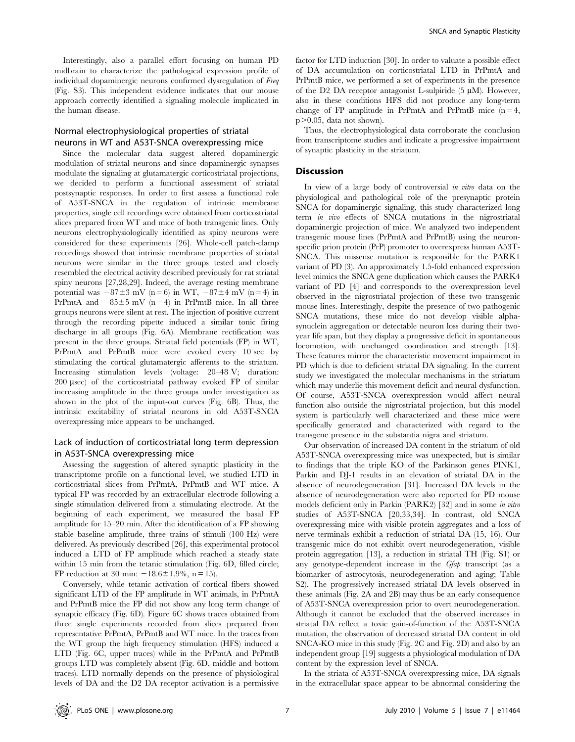Interestingly, also a parallel effort focusing on human PD midbrain to characterize the pathological expression profile of individual dopaminergic neurons confirmed dysregulation of Freq (Fig. S3). This independent evidence indicates that our mouse approach correctly identified a signaling molecule implicated in the human disease.

# Normal electrophysiological properties of striatal neurons in WT and A53T-SNCA overexpressing mice

Since the molecular data suggest altered dopaminergic modulation of striatal neurons and since dopaminergic synapses modulate the signaling at glutamatergic corticostriatal projections, we decided to perform a functional assessment of striatal postsynaptic responses. In order to first assess a functional role of A53T-SNCA in the regulation of intrinsic membrane properties, single cell recordings were obtained from corticostriatal slices prepared from WT and mice of both transgenic lines. Only neurons electrophysiologically identified as spiny neurons were considered for these experiments [26]. Whole-cell patch-clamp recordings showed that intrinsic membrane properties of striatal neurons were similar in the three groups tested and closely resembled the electrical activity described previously for rat striatal spiny neurons [27,28,29]. Indeed, the average resting membrane potential was  $-87\pm3$  mV (n = 6) in WT,  $-87\pm4$  mV (n = 4) in PrPmtA and  $-85\pm5$  mV (n = 4) in PrPmtB mice. In all three groups neurons were silent at rest. The injection of positive current through the recording pipette induced a similar tonic firing discharge in all groups (Fig. 6A). Membrane rectification was present in the three groups. Striatal field potentials (FP) in WT, PrPmtA and PrPmtB mice were evoked every 10 sec by stimulating the cortical glutamatergic afferents to the striatum. Increasing stimulation levels (voltage: 20–48 V; duration: 200 µsec) of the corticostriatal pathway evoked FP of similar increasing amplitude in the three groups under investigation as shown in the plot of the input-out curves (Fig. 6B). Thus, the intrinsic excitability of striatal neurons in old A53T-SNCA overexpressing mice appears to be unchanged.

## Lack of induction of corticostriatal long term depression in A53T-SNCA overexpressing mice

Assessing the suggestion of altered synaptic plasticity in the transcriptome profile on a functional level, we studied LTD in corticostriatal slices from PrPmtA, PrPmtB and WT mice. A typical FP was recorded by an extracellular electrode following a single stimulation delivered from a stimulating electrode. At the beginning of each experiment, we measured the basal FP amplitude for 15–20 min. After the identification of a FP showing stable baseline amplitude, three trains of stimuli (100 Hz) were delivered. As previously described [26], this experimental protocol induced a LTD of FP amplitude which reached a steady state within 15 min from the tetanic stimulation (Fig. 6D, filled circle; FP reduction at 30 min:  $-18.6 \pm 1.9$ %, n = 15).

Conversely, while tetanic activation of cortical fibers showed significant LTD of the FP amplitude in WT animals, in PrPmtA and PrPmtB mice the FP did not show any long term change of synaptic efficacy (Fig. 6D). Figure 6C shows traces obtained from three single experiments recorded from slices prepared from representative PrPmtA, PrPmtB and WT mice. In the traces from the WT group the high frequency stimulation (HFS) induced a LTD (Fig. 6C, upper traces) while in the PrPmtA and PrPmtB groups LTD was completely absent (Fig. 6D, middle and bottom traces). LTD normally depends on the presence of physiological levels of DA and the D2 DA receptor activation is a permissive

factor for LTD induction [30]. In order to valuate a possible effect of DA accumulation on corticostriatal LTD in PrPmtA and PrPmtB mice, we performed a set of experiments in the presence of the D2 DA receptor antagonist L-sulpiride  $(5 \mu M)$ . However, also in these conditions HFS did not produce any long-term change of FP amplitude in PrPmtA and PrPmtB mice  $(n = 4, ...)$  $p$  $>$ 0.05, data not shown).

Thus, the electrophysiological data corroborate the conclusion from transcriptome studies and indicate a progressive impairment of synaptic plasticity in the striatum.

## **Discussion**

In view of a large body of controversial in vitro data on the physiological and pathological role of the presynaptic protein SNCA for dopaminergic signaling, this study characterized long term in vivo effects of SNCA mutations in the nigrostriatal dopaminergic projection of mice. We analyzed two independent transgenic mouse lines (PrPmtA and PrPmtB) using the neuronspecific prion protein (PrP) promoter to overexpress human A53T-SNCA. This missense mutation is responsible for the PARK1 variant of PD (3). An approximately 1.5-fold enhanced expression level mimics the SNCA gene duplication which causes the PARK4 variant of PD [4] and corresponds to the overexpression level observed in the nigrostriatal projection of these two transgenic mouse lines. Interestingly, despite the presence of two pathogenic SNCA mutations, these mice do not develop visible alphasynuclein aggregation or detectable neuron loss during their twoyear life span, but they display a progressive deficit in spontaneous locomotion, with unchanged coordination and strength [13]. These features mirror the characteristic movement impairment in PD which is due to deficient striatal DA signaling. In the current study we investigated the molecular mechanisms in the striatum which may underlie this movement deficit and neural dysfunction. Of course, A53T-SNCA overexpression would affect neural function also outside the nigrostriatal projection, but this model system is particularly well characterized and these mice were specifically generated and characterized with regard to the transgene presence in the substantia nigra and striatum.

Our observation of increased DA content in the striatum of old A53T-SNCA overexpressing mice was unexpected, but is similar to findings that the triple KO of the Parkinson genes PINK1, Parkin and DJ-1 results in an elevation of striatal DA in the absence of neurodegeneration [31]. Increased DA levels in the absence of neurodegeneration were also reported for PD mouse models deficient only in Parkin (PARK2) [32] and in some in vitro studies of A53T-SNCA [20,33,34]. In contrast, old SNCA overexpressing mice with visible protein aggregates and a loss of nerve terminals exhibit a reduction of striatal DA (15, 16). Our transgenic mice do not exhibit overt neurodegeneration, visible protein aggregation [13], a reduction in striatal TH (Fig. S1) or any genotype-dependent increase in the Gfap transcript (as a biomarker of astrocytosis, neurodegeneration and aging; Table S2). The progressively increased striatal DA levels observed in these animals (Fig. 2A and 2B) may thus be an early consequence of A53T-SNCA overexpression prior to overt neurodegeneration. Although it cannot be excluded that the observed increases in striatal DA reflect a toxic gain-of-function of the A53T-SNCA mutation, the observation of decreased striatal DA content in old SNCA-KO mice in this study (Fig. 2C and Fig. 2D) and also by an independent group [19] suggests a physiological modulation of DA content by the expression level of SNCA.

In the striata of A53T-SNCA overexpressing mice, DA signals in the extracellular space appear to be abnormal considering the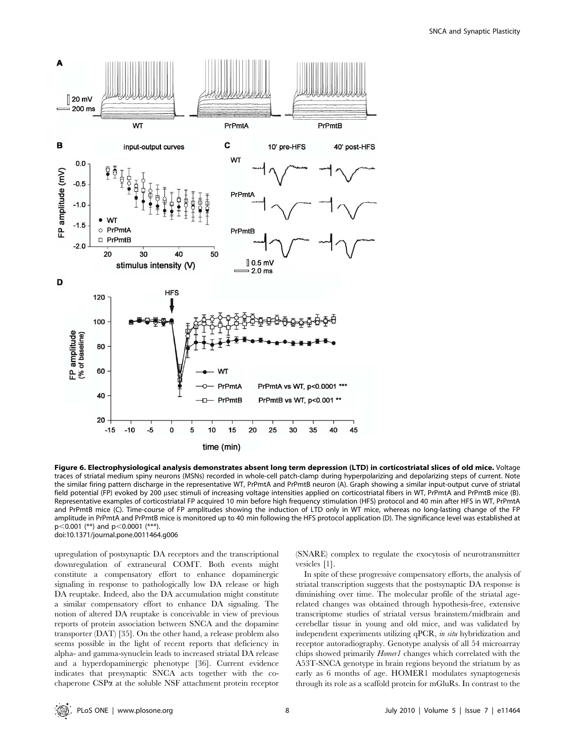

Figure 6. Electrophysiological analysis demonstrates absent long term depression (LTD) in corticostriatal slices of old mice. Voltage traces of striatal medium spiny neurons (MSNs) recorded in whole-cell patch-clamp during hyperpolarizing and depolarizing steps of current. Note the similar firing pattern discharge in the representative WT, PrPmtA and PrPmtB neuron (A). Graph showing a similar input-output curve of striatal field potential (FP) evoked by 200 usec stimuli of increasing voltage intensities applied on corticostriatal fibers in WT, PrPmtA and PrPmtB mice (B). Representative examples of corticostriatal FP acquired 10 min before high frequency stimulation (HFS) protocol and 40 min after HFS in WT, PrPmtA and PrPmtB mice (C). Time-course of FP amplitudes showing the induction of LTD only in WT mice, whereas no long-lasting change of the FP amplitude in PrPmtA and PrPmtB mice is monitored up to 40 min following the HFS protocol application (D). The significance level was established at  $p<0.001$  (\*\*) and  $p<0.0001$  (\*\*\*). doi:10.1371/journal.pone.0011464.g006

upregulation of postsynaptic DA receptors and the transcriptional downregulation of extraneural COMT. Both events might constitute a compensatory effort to enhance dopaminergic signaling in response to pathologically low DA release or high DA reuptake. Indeed, also the DA accumulation might constitute a similar compensatory effort to enhance DA signaling. The notion of altered DA reuptake is conceivable in view of previous reports of protein association between SNCA and the dopamine transporter (DAT) [35]. On the other hand, a release problem also seems possible in the light of recent reports that deficiency in alpha- and gamma-synuclein leads to increased striatal DA release and a hyperdopaminergic phenotype [36]. Current evidence indicates that presynaptic SNCA acts together with the cochaperone CSPa at the soluble NSF attachment protein receptor (SNARE) complex to regulate the exocytosis of neurotransmitter vesicles [1].

In spite of these progressive compensatory efforts, the analysis of striatal transcription suggests that the postsynaptic DA response is diminishing over time. The molecular profile of the striatal agerelated changes was obtained through hypothesis-free, extensive transcriptome studies of striatal versus brainstem/midbrain and cerebellar tissue in young and old mice, and was validated by independent experiments utilizing qPCR, in situ hybridization and receptor autoradiography. Genotype analysis of all 54 microarray chips showed primarily Homer1 changes which correlated with the A53T-SNCA genotype in brain regions beyond the striatum by as early as 6 months of age. HOMER1 modulates synaptogenesis through its role as a scaffold protein for mGluRs. In contrast to the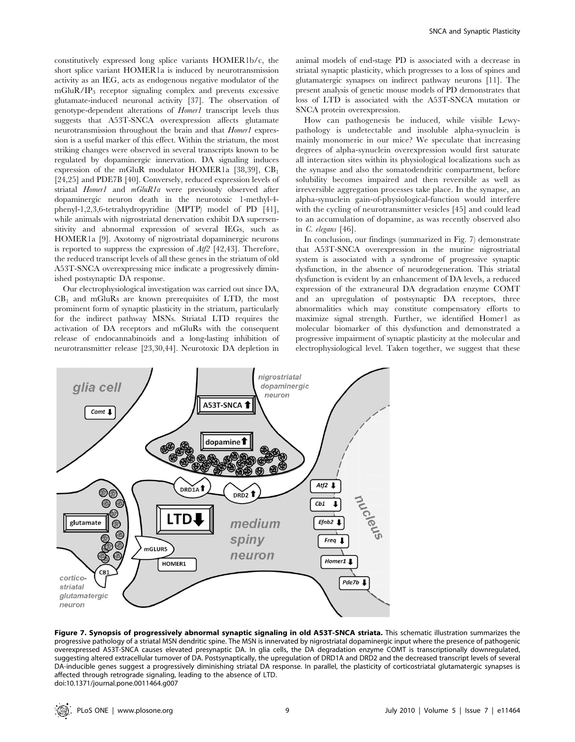constitutively expressed long splice variants HOMER1b/c, the short splice variant HOMER1a is induced by neurotransmission activity as an IEG, acts as endogenous negative modulator of the  $mGluR/IP<sub>3</sub>$  receptor signaling complex and prevents excessive glutamate-induced neuronal activity [37]. The observation of genotype-dependent alterations of Homer1 transcript levels thus suggests that A53T-SNCA overexpression affects glutamate neurotransmission throughout the brain and that *Homer1* expression is a useful marker of this effect. Within the striatum, the most striking changes were observed in several transcripts known to be regulated by dopaminergic innervation. DA signaling induces expression of the mGluR modulator HOMER1a [38,39],  $CB_1$ [24,25] and PDE7B [40]. Conversely, reduced expression levels of striatal Homer1 and mGluR1a were previously observed after dopaminergic neuron death in the neurotoxic 1-methyl-4 phenyl-1,2,3,6-tetrahydropyridine (MPTP) model of PD [41], while animals with nigrostriatal denervation exhibit DA supersensitivity and abnormal expression of several IEGs, such as HOMER1a [9]. Axotomy of nigrostriatal dopaminergic neurons is reported to suppress the expression of Atf2 [42,43]. Therefore, the reduced transcript levels of all these genes in the striatum of old A53T-SNCA overexpressing mice indicate a progressively diminished postsynaptic DA response.

Our electrophysiological investigation was carried out since DA,  $CB<sub>1</sub>$  and mGluRs are known prerequisites of LTD, the most prominent form of synaptic plasticity in the striatum, particularly for the indirect pathway MSNs. Striatal LTD requires the activation of DA receptors and mGluRs with the consequent release of endocannabinoids and a long-lasting inhibition of neurotransmitter release [23,30,44]. Neurotoxic DA depletion in animal models of end-stage PD is associated with a decrease in striatal synaptic plasticity, which progresses to a loss of spines and glutamatergic synapses on indirect pathway neurons [11]. The present analysis of genetic mouse models of PD demonstrates that loss of LTD is associated with the A53T-SNCA mutation or SNCA protein overexpression.

How can pathogenesis be induced, while visible Lewypathology is undetectable and insoluble alpha-synuclein is mainly monomeric in our mice? We speculate that increasing degrees of alpha-synuclein overexpression would first saturate all interaction sites within its physiological localizations such as the synapse and also the somatodendritic compartment, before solubility becomes impaired and then reversible as well as irreversible aggregation processes take place. In the synapse, an alpha-synuclein gain-of-physiological-function would interfere with the cycling of neurotransmitter vesicles [45] and could lead to an accumulation of dopamine, as was recently observed also in C. elegans [46].

In conclusion, our findings (summarized in Fig. 7) demonstrate that A53T-SNCA overexpression in the murine nigrostriatal system is associated with a syndrome of progressive synaptic dysfunction, in the absence of neurodegeneration. This striatal dysfunction is evident by an enhancement of DA levels, a reduced expression of the extraneural DA degradation enzyme COMT and an upregulation of postsynaptic DA receptors, three abnormalities which may constitute compensatory efforts to maximize signal strength. Further, we identified Homer1 as molecular biomarker of this dysfunction and demonstrated a progressive impairment of synaptic plasticity at the molecular and electrophysiological level. Taken together, we suggest that these



Figure 7. Synopsis of progressively abnormal synaptic signaling in old A53T-SNCA striata. This schematic illustration summarizes the progressive pathology of a striatal MSN dendritic spine. The MSN is innervated by nigrostriatal dopaminergic input where the presence of pathogenic overexpressed A53T-SNCA causes elevated presynaptic DA. In glia cells, the DA degradation enzyme COMT is transcriptionally downregulated, suggesting altered extracellular turnover of DA. Postsynaptically, the upregulation of DRD1A and DRD2 and the decreased transcript levels of several DA-inducible genes suggest a progressively diminishing striatal DA response. In parallel, the plasticity of corticostriatal glutamatergic synapses is affected through retrograde signaling, leading to the absence of LTD. doi:10.1371/journal.pone.0011464.g007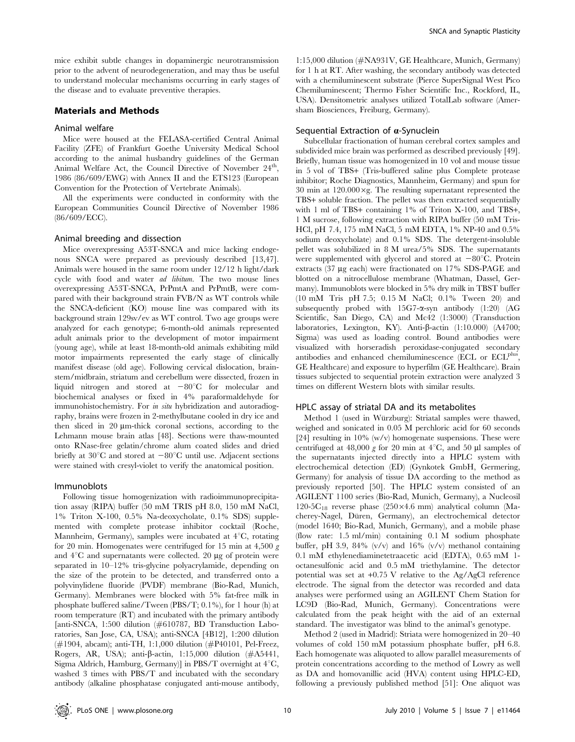mice exhibit subtle changes in dopaminergic neurotransmission prior to the advent of neurodegeneration, and may thus be useful to understand molecular mechanisms occurring in early stages of the disease and to evaluate preventive therapies.

## Materials and Methods

## Animal welfare

Mice were housed at the FELASA-certified Central Animal Facility (ZFE) of Frankfurt Goethe University Medical School according to the animal husbandry guidelines of the German Animal Welfare Act, the Council Directive of November 24<sup>th</sup>. 1986 (86/609/EWG) with Annex II and the ETS123 (European Convention for the Protection of Vertebrate Animals).

All the experiments were conducted in conformity with the European Communities Council Directive of November 1986 (86/609/ECC).

#### Animal breeding and dissection

Mice overexpressing A53T-SNCA and mice lacking endogenous SNCA were prepared as previously described [13,47]. Animals were housed in the same room under 12/12 h light/dark cycle with food and water ad libitum. The two mouse lines overexpressing A53T-SNCA, PrPmtA and PrPmtB, were compared with their background strain FVB/N as WT controls while the SNCA-deficient (KO) mouse line was compared with its background strain 129sv/ev as WT control. Two age groups were analyzed for each genotype; 6-month-old animals represented adult animals prior to the development of motor impairment (young age), while at least 18-month-old animals exhibiting mild motor impairments represented the early stage of clinically manifest disease (old age). Following cervical dislocation, brainstem/midbrain, striatum and cerebellum were dissected, frozen in liquid nitrogen and stored at  $-80^{\circ}$ C for molecular and biochemical analyses or fixed in 4% paraformaldehyde for immunohistochemistry. For *in situ* hybridization and autoradiography, brains were frozen in 2-methylbutane cooled in dry ice and then sliced in 20 mm-thick coronal sections, according to the Lehmann mouse brain atlas [48]. Sections were thaw-mounted onto RNase-free gelatin/chrome alum coated slides and dried briefly at 30 $^{\circ}$ C and stored at  $-80^{\circ}$ C until use. Adjacent sections were stained with cresyl-violet to verify the anatomical position.

#### Immunoblots

Following tissue homogenization with radioimmunoprecipitation assay (RIPA) buffer (50 mM TRIS pH 8.0, 150 mM NaCl, 1% Triton X-100, 0.5% Na-deoxycholate, 0.1% SDS) supplemented with complete protease inhibitor cocktail (Roche, Mannheim, Germany), samples were incubated at  $4^{\circ}C$ , rotating for 20 min. Homogenates were centrifuged for 15 min at 4,500  $g$ and  $4^{\circ}$ C and supernatants were collected. 20  $\mu$ g of protein were separated in 10–12% tris-glycine polyacrylamide, depending on the size of the protein to be detected, and transferred onto a polyvinylidene fluoride (PVDF) membrane (Bio-Rad, Munich, Germany). Membranes were blocked with 5% fat-free milk in phosphate buffered saline/Tween (PBS/T; 0.1%), for 1 hour (h) at room temperature (RT) and incubated with the primary antibody [anti-SNCA, 1:500 dilution (#610787, BD Transduction Laboratories, San Jose, CA, USA); anti-SNCA [4B12], 1:200 dilution (#1904, abcam); anti-TH, 1:1,000 dilution (#P40101, Pel-Freez, Rogers, AR, USA); anti- $\beta$ -actin, 1:15,000 dilution (#A5441, Sigma Aldrich, Hamburg, Germany)] in PBS/T overnight at  $4^{\circ}C$ , washed 3 times with PBS/T and incubated with the secondary antibody (alkaline phosphatase conjugated anti-mouse antibody,

1:15,000 dilution (#NA931V, GE Healthcare, Munich, Germany) for 1 h at RT. After washing, the secondary antibody was detected with a chemiluminescent substrate (Pierce SuperSignal West Pico Chemiluminescent; Thermo Fisher Scientific Inc., Rockford, IL, USA). Densitometric analyses utilized TotalLab software (Amersham Biosciences, Freiburg, Germany).

#### Sequential Extraction of  $\alpha$ -Synuclein

Subcellular fractionation of human cerebral cortex samples and subdivided mice brain was performed as described previously [49]. Briefly, human tissue was homogenized in 10 vol and mouse tissue in 5 vol of TBS+ (Tris-buffered saline plus Complete protease inhibitor; Roche Diagnostics, Mannheim, Germany) and spun for 30 min at  $120.000 \times g$ . The resulting supernatant represented the TBS+ soluble fraction. The pellet was then extracted sequentially with 1 ml of TBS+ containing 1% of Triton X-100, and TBS+, 1 M sucrose, following extraction with RIPA buffer (50 mM Tris-HCl, pH 7.4, 175 mM NaCl, 5 mM EDTA, 1% NP-40 and 0.5% sodium deoxycholate) and 0.1% SDS. The detergent-insoluble pellet was solubilized in 8 M urea/5% SDS. The supernatants were supplemented with glycerol and stored at  $-80^{\circ}$ C. Protein extracts (37 µg each) were fractionated on 17% SDS-PAGE and blotted on a nitrocellulose membrane (Whatman, Dassel, Germany). Immunoblots were blocked in 5% dry milk in TBST buffer (10 mM Tris pH 7.5; 0.15 M NaCl; 0.1% Tween 20) and subsequently probed with  $15G7$ - $\alpha$ -syn antibody (1:20) (AG Scientific, San Diego, CA) and Mc42 (1:3000) (Transduction laboratories, Lexington, KY). Anti- $\beta$ -actin (1:10.000) (A4700; Sigma) was used as loading control. Bound antibodies were visualized with horseradish peroxidase-conjugated secondary antibodies and enhanced chemiluminescence (ECL or ECL<sup>plu</sup> GE Healthcare) and exposure to hyperfilm (GE Healthcare). Brain tissues subjected to sequential protein extraction were analyzed 3 times on different Western blots with similar results.

#### HPLC assay of striatal DA and its metabolites

Method 1 (used in Würzburg): Striatal samples were thawed, weighed and sonicated in 0.05 M perchloric acid for 60 seconds [24] resulting in 10%  $(w/v)$  homogenate suspensions. These were centrifuged at 48,000 g for 20 min at  $4^{\circ}$ C, and 50 µl samples of the supernatants injected directly into a HPLC system with electrochemical detection (ED) (Gynkotek GmbH, Germering, Germany) for analysis of tissue DA according to the method as previously reported [50]. The HPLC system consisted of an AGILENT 1100 series (Bio-Rad, Munich, Germany), a Nucleosil 120-5 $C_{18}$  reverse phase (250×4.6 mm) analytical column (Macherey-Nagel, Düren, Germany), an electrochemical detector (model 1640; Bio-Rad, Munich, Germany), and a mobile phase (flow rate: 1.5 ml/min) containing 0.1 M sodium phosphate buffer, pH 3.9, 84% (v/v) and 16% (v/v) methanol containing 0.1 mM ethylenediaminetetraacetic acid (EDTA), 0.65 mM 1 octanesulfonic acid and 0.5 mM triethylamine. The detector potential was set at +0.75 V relative to the Ag/AgCl reference electrode. The signal from the detector was recorded and data analyses were performed using an AGILENT Chem Station for LC9D (Bio-Rad, Munich, Germany). Concentrations were calculated from the peak height with the aid of an external standard. The investigator was blind to the animal's genotype.

Method 2 (used in Madrid): Striata were homogenized in 20–40 volumes of cold 150 mM potassium phosphate buffer, pH 6.8. Each homogenate was aliquoted to allow parallel measurements of protein concentrations according to the method of Lowry as well as DA and homovanillic acid (HVA) content using HPLC-ED, following a previously published method [51]: One aliquot was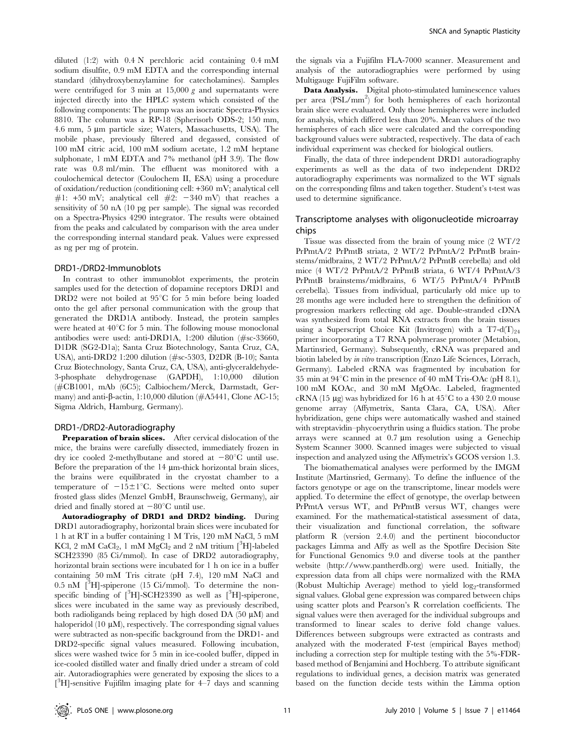diluted (1:2) with 0.4 N perchloric acid containing 0.4 mM sodium disulfite, 0.9 mM EDTA and the corresponding internal standard (dihydroxybenzylamine for catecholamines). Samples were centrifuged for 3 min at  $15,000 \, g$  and supernatants were injected directly into the HPLC system which consisted of the following components: The pump was an isocratic Spectra-Physics 8810. The column was a RP-18 (Spherisorb ODS-2; 150 mm, 4.6 mm, 5 µm particle size; Waters, Massachusetts, USA). The mobile phase, previously filtered and degassed, consisted of 100 mM citric acid, 100 mM sodium acetate, 1.2 mM heptane sulphonate, 1 mM EDTA and 7% methanol (pH 3.9). The flow rate was 0.8 ml/min. The effluent was monitored with a coulochemical detector (Coulochem II, ESA) using a procedure of oxidation/reduction (conditioning cell: +360 mV; analytical cell #1: +50 mV; analytical cell #2: -340 mV) that reaches a sensitivity of 50 nA (10 pg per sample). The signal was recorded on a Spectra-Physics 4290 integrator. The results were obtained from the peaks and calculated by comparison with the area under the corresponding internal standard peak. Values were expressed as ng per mg of protein.

#### DRD1-/DRD2-Immunoblots

In contrast to other immunoblot experiments, the protein samples used for the detection of dopamine receptors DRD1 and DRD2 were not boiled at  $95^{\circ}$ C for 5 min before being loaded onto the gel after personal communication with the group that generated the DRD1A antibody. Instead, the protein samples were heated at  $40^{\circ}$ C for 5 min. The following mouse monoclonal antibodies were used: anti-DRD1A, 1:200 dilution (#sc-33660, D1DR (SG2-D1a); Santa Cruz Biotechnology, Santa Cruz, CA, USA), anti-DRD2 1:200 dilution (#sc-5303, D2DR (B-10); Santa Cruz Biotechnology, Santa Cruz, CA, USA), anti-glyceraldehyde-3-phosphate dehydrogenase (GAPDH), 1:10,000 dilution (#CB1001, mAb (6C5); Calbiochem/Merck, Darmstadt, Germany) and anti- $\beta$ -actin, 1:10,000 dilution ( $\#A5441$ , Clone AC-15; Sigma Aldrich, Hamburg, Germany).

#### DRD1-/DRD2-Autoradiography

Preparation of brain slices. After cervical dislocation of the mice, the brains were carefully dissected, immediately frozen in dry ice cooled 2-methylbutane and stored at  $-80^{\circ}$ C until use. Before the preparation of the 14  $\mu$ m-thick horizontal brain slices, the brains were equilibrated in the cryostat chamber to a temperature of  $-15\pm1^{\circ}$ C. Sections were melted onto super frosted glass slides (Menzel GmbH, Braunschweig, Germany), air dried and finally stored at  $-80^{\circ}$ C until use.

Autoradiography of DRD1 and DRD2 binding. During DRD1 autoradiography, horizontal brain slices were incubated for 1 h at RT in a buffer containing 1 M Tris, 120 mM NaCl, 5 mM KCl, 2 mM CaCl<sub>2</sub>, 1 mM MgCl<sub>2</sub> and 2 nM tritium [<sup>3</sup>H]-labeled SCH23390 (85 Ci/mmol). In case of DRD2 autoradiography, horizontal brain sections were incubated for 1 h on ice in a buffer containing 50 mM Tris citrate (pH 7.4), 120 mM NaCl and  $0.5$  nM  $\left[^{3}H\right]$ -spiperone (15 Ci/mmol). To determine the nonspecific binding of  $[^{3}H]$ -SCH23390 as well as  $[^{3}H]$ -spiperone, slices were incubated in the same way as previously described, both radioligands being replaced by high dosed DA  $(50 \mu M)$  and haloperidol (10  $\mu$ M), respectively. The corresponding signal values were subtracted as non-specific background from the DRD1- and DRD2-specific signal values measured. Following incubation, slices were washed twice for 5 min in ice-cooled buffer, dipped in ice-cooled distilled water and finally dried under a stream of cold air. Autoradiographies were generated by exposing the slices to a [ 3 H]-sensitive Fujifilm imaging plate for 4–7 days and scanning

the signals via a Fujifilm FLA-7000 scanner. Measurement and analysis of the autoradiographies were performed by using Multigauge FujiFilm software.

Data Analysis. Digital photo-stimulated luminescence values per area (PSL/mm<sup>2</sup>) for both hemispheres of each horizontal brain slice were evaluated. Only those hemispheres were included for analysis, which differed less than 20%. Mean values of the two hemispheres of each slice were calculated and the corresponding background values were subtracted, respectively. The data of each individual experiment was checked for biological outliers.

Finally, the data of three independent DRD1 autoradiography experiments as well as the data of two independent DRD2 autoradiography experiments was normalized to the WT signals on the corresponding films and taken together. Student's t-test was used to determine significance.

## Transcriptome analyses with oligonucleotide microarray chips

Tissue was dissected from the brain of young mice (2 WT/2 PrPmtA/2 PrPmtB striata, 2 WT/2 PrPmtA/2 PrPmtB brainstems/midbrains, 2 WT/2 PrPmtA/2 PrPmtB cerebella) and old mice (4 WT/2 PrPmtA/2 PrPmtB striata, 6 WT/4 PrPmtA/3 PrPmtB brainstems/midbrains, 6 WT/5 PrPmtA/4 PrPmtB cerebella). Tissues from individual, particularly old mice up to 28 months age were included here to strengthen the definition of progression markers reflecting old age. Double-stranded cDNA was synthesized from total RNA extracts from the brain tissues using a Superscript Choice Kit (Invitrogen) with a T7-d(T)<sub>24</sub> primer incorporating a T7 RNA polymerase promoter (Metabion, Martinsried, Germany). Subsequently, cRNA was prepared and biotin labeled by in vitro transcription (Enzo Life Sciences, Lörrach, Germany). Labeled cRNA was fragmented by incubation for 35 min at  $94^{\circ}$ C min in the presence of 40 mM Tris-OAc (pH 8.1), 100 mM KOAc, and 30 mM MgOAc. Labeled, fragmented cRNA (15  $\mu$ g) was hybridized for 16 h at 45<sup>°</sup>C to a 430 2.0 mouse genome array (Affymetrix, Santa Clara, CA, USA). After hybridization, gene chips were automatically washed and stained with streptavidin–phycoerythrin using a fluidics station. The probe arrays were scanned at  $0.7 \mu m$  resolution using a Genechip System Scanner 3000. Scanned images were subjected to visual inspection and analyzed using the Affymetrix's GCOS version 1.3.

The biomathematical analyses were performed by the IMGM Institute (Martinsried, Germany). To define the influence of the factors genotype or age on the transcriptome, linear models were applied. To determine the effect of genotype, the overlap between PrPmtA versus WT, and PrPmtB versus WT, changes were examined. For the mathematical-statistical assessment of data, their visualization and functional correlation, the software platform R (version 2.4.0) and the pertinent bioconductor packages Limma and Affy as well as the Spotfire Decision Site for Functional Genomics 9.0 and diverse tools at the panther website (http://www.pantherdb.org) were used. Initially, the expression data from all chips were normalized with the RMA (Robust Multichip Average) method to yield  $log_2$ -transformed signal values. Global gene expression was compared between chips using scatter plots and Pearson's R correlation coefficients. The signal values were then averaged for the individual subgroups and transformed to linear scales to derive fold change values. Differences between subgroups were extracted as contrasts and analyzed with the moderated F-test (empirical Bayes method) including a correction step for multiple testing with the 5%-FDRbased method of Benjamini and Hochberg. To attribute significant regulations to individual genes, a decision matrix was generated based on the function decide tests within the Limma option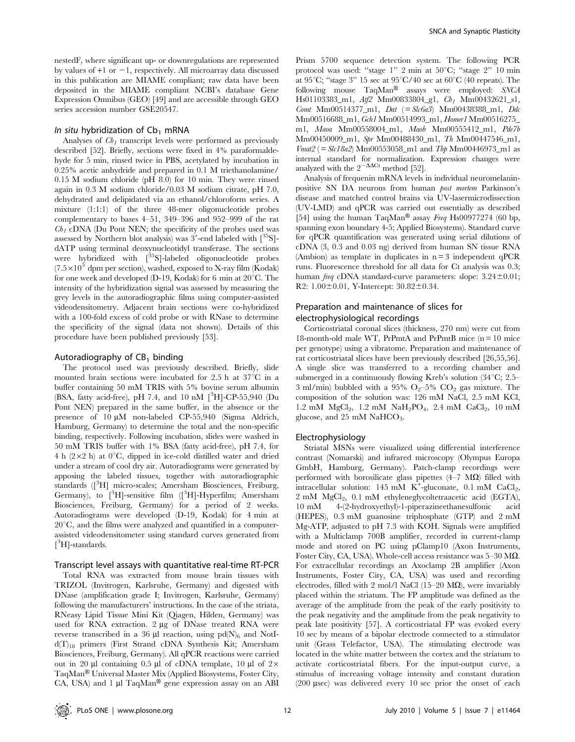nestedF, where significant up- or downregulations are represented by values of  $+1$  or  $-1$ , respectively. All microarray data discussed in this publication are MIAME compliant; raw data have been deposited in the MIAME compliant NCBI's database Gene Expression Omnibus (GEO) [49] and are accessible through GEO series accession number GSE20547.

#### In situ hybridization of  $Cb_1$  mRNA

Analyses of  $Cb<sub>1</sub>$  transcript levels were performed as previously described [52]. Briefly, sections were fixed in 4% paraformaldehyde for 5 min, rinsed twice in PBS, acetylated by incubation in 0.25% acetic anhydride and prepared in 0.1 M triethanolamine/ 0.15 M sodium chloride (pH 8.0) for 10 min. They were rinsed again in 0.3 M sodium chloride/0.03 M sodium citrate, pH 7.0, dehydrated and delipidated via an ethanol/chloroform series. A mixture (1:1:1) of the three 48-mer oligonucleotide probes complementary to bases 4–51, 349–396 and 952–999 of the rat  $Cb_1$  cDNA (Du Pont NEN; the specificity of the probes used was assessed by Northern blot analysis) was  $3'$ -end labeled with  $\binom{35}{5}$ dATP using terminal deoxynucleotidyl transferase. The sections were hybridized with  $\int^{35}S$ ]-labeled oligonucleotide probes  $(7.5\times10^5$  dpm per section), washed, exposed to X-ray film (Kodak) for one week and developed (D-19, Kodak) for 6 min at  $20^{\circ}$ C. The intensity of the hybridization signal was assessed by measuring the grey levels in the autoradiographic films using computer-assisted videodensitometry. Adjacent brain sections were co-hybridized with a 100-fold excess of cold probe or with RNase to determine the specificity of the signal (data not shown). Details of this procedure have been published previously [53].

#### Autoradiography of  $CB<sub>1</sub>$  binding

The protocol used was previously described. Briefly, slide mounted brain sections were incubated for  $2.5$  h at  $37^{\circ}$ C in a buffer containing 50 mM TRIS with 5% bovine serum albumin (BSA, fatty acid-free), pH 7.4, and 10 nM  $[^{3}H]$ -CP-55,940 (Du Pont NEN) prepared in the same buffer, in the absence or the presence of  $10 \mu M$  non-labeled CP-55,940 (Sigma Aldrich, Hamburg, Germany) to determine the total and the non-specific binding, respectively. Following incubation, slides were washed in 50 mM TRIS buffer with 1% BSA (fatty acid-free), pH 7.4, for 4 h  $(2\times2$  h) at 0°C, dipped in ice-cold distilled water and dried under a stream of cool dry air. Autoradiograms were generated by apposing the labeled tissues, together with autoradiographic standards ([<sup>3</sup>H] micro-scales; Amersham Biosciences, Freiburg, Germany), to  $[^{3}H]$ -sensitive film  $([^{3}H]$ -Hyperfilm; Amersham Biosciences, Freiburg, Germany) for a period of 2 weeks. Autoradiograms were developed (D-19, Kodak) for 4 min at  $20^{\circ}$ C, and the films were analyzed and quantified in a computerassisted videodensitometer using standard curves generated from [<sup>3</sup>H]-standards.

#### Transcript level assays with quantitative real-time RT-PCR

Total RNA was extracted from mouse brain tissues with TRIZOL (Invitrogen, Karlsruhe, Germany) and digested with DNase (amplification grade I; Invitrogen, Karlsruhe, Germany) following the manufacturers' instructions. In the case of the striata, RNeasy Lipid Tissue Mini Kit (Qiagen, Hilden, Germany) was used for RNA extraction.  $2 \mu g$  of DNase treated RNA were reverse transcribed in a 36  $\mu$ l reaction, using pd(N)<sub>6</sub> and NotId(T)18 primers (First Strand cDNA Synthesis Kit; Amersham Biosciences, Freiburg, Germany). All qPCR reactions were carried out in 20  $\mu$ l containing 0.5  $\mu$ l of cDNA template, 10  $\mu$ l of 2 $\times$ TaqMan<sup>®</sup> Universal Master Mix (Applied Biosystems, Foster City, CA, USA) and 1  $\mu$ l TaqMan<sup>®</sup> gene expression assay on an ABI

Prism 5700 sequence detection system. The following PCR protocol was used: "stage  $1$ " 2 min at  $50^{\circ}$ C; "stage  $2$ " 10 min at 95 $°C$ ; "stage 3" 15 sec at 95 $°C/40$  sec at 60 $°C$  (40 repeats). The following mouse  $TaqMan^{\circledR}$  assays were employed: SNCA Hs01103383\_m1,  $Atf2$  Mm00833804\_g1,  $Cb_1$  Mm00432621\_s1, Comt Mm00514377\_m1, Dat (= Slc6a3) Mm00438388\_m1, Ddc Mm00516688\_m1, Gch1 Mm00514993\_m1, Homer1 Mm00516275\_ m1, Maoa Mm00558004\_m1, Maob Mm00555412\_m1, Pde7b Mm00450009\_m1, Spr Mm00488430\_m1, Th Mm00447546\_m1,  $Vmat2$  (=  $Slc18a2$ ) Mm00553058\_m1 and Tbp Mm00446973\_m1 as internal standard for normalization. Expression changes were analyzed with the  $2^{-\Delta\Delta\text{Ct}}$  method [52].

Analysis of frequenin mRNA levels in individual neuromelaninpositive SN DA neurons from human post mortem Parkinson's disease and matched control brains via UV-lasermicrodissection (UV-LMD) and qPCR was carried out essentially as described [54] using the human TaqMan® assay Freq Hs00977274 (60 bp, spanning exon boundary 4-5; Applied Biosystems). Standard curve for qPCR quantification was generated using serial dilutions of cDNA (3, 0.3 and 0.03 ng) derived from human SN tissue RNA (Ambion) as template in duplicates in  $n = 3$  independent qPCR runs. Fluorescence threshold for all data for Ct analysis was 0.3; human *freq* cDNA standard-curve parameters: slope:  $3.24 \pm 0.01$ ; R2:  $1.00 \pm 0.01$ , Y-Intercept:  $30.82 \pm 0.34$ .

# Preparation and maintenance of slices for electrophysiological recordings

Corticostriatal coronal slices (thickness, 270 nm) were cut from 18-month-old male WT, PrPmtA and PrPmtB mice (n = 10 mice per genotype) using a vibratome. Preparation and maintenance of rat corticostriatal slices have been previously described [26,55,56]. A single slice was transferred to a recording chamber and submerged in a continuously flowing Kreb's solution  $(34^{\circ}C; 2.5-$ 3 ml/min) bubbled with a 95%  $O<sub>2</sub>$ –5%  $CO<sub>2</sub>$  gas mixture. The composition of the solution was: 126 mM NaCl, 2.5 mM KCl, 1.2 mM  $MgCl_2$ , 1.2 mM  $NaH_2PO_4$ , 2.4 mM  $CaCl_2$ , 10 mM glucose, and 25 mM  $\rm NaHCO_3.$ 

### Electrophysiology

Striatal MSNs were visualized using differential interference contrast (Nomarski) and infrared microscopy (Olympus Europa GmbH, Hamburg, Germany). Patch-clamp recordings were performed with borosilicate glass pipettes  $(4-7 \text{ M}\Omega)$  filled with intracellular solution: 145 mM  $K^+$ -gluconate, 0.1 mM CaCl<sub>2</sub>, 2 mM MgCl<sub>2</sub>, 0.1 mM ethyleneglycoltetraacetic acid (EGTA),  $10 \text{ mM} = 4-(2-hydroxyethyl)-1-piperazineethanesulfonic$ (HEPES), 0.3 mM guanosine triphosphate (GTP) and 2 mM Mg-ATP, adjusted to pH 7.3 with KOH. Signals were amplified with a Multiclamp 700B amplifier, recorded in current-clamp mode and stored on PC using pClamp10 (Axon Instruments, Foster City, CA, USA). Whole-cell access resistance was  $5-30$  M $\Omega$ . For extracellular recordings an Axoclamp 2B amplifier (Axon Instruments, Foster City, CA, USA) was used and recording electrodes, filled with 2 mol/l NaCl  $(15-20 \text{ M}\Omega)$ , were invariably placed within the striatum. The FP amplitude was defined as the average of the amplitude from the peak of the early positivity to the peak negativity and the amplitude from the peak negativity to peak late positivity [57]. A corticostriatal FP was evoked every 10 sec by means of a bipolar electrode connected to a stimulator unit (Grass Telefactor, USA). The stimulating electrode was located in the white matter between the cortex and the striatum to activate corticostriatal fibers. For the input-output curve, a stimulus of increasing voltage intensity and constant duration (200  $\mu$ sec) was delivered every 10 sec prior the onset of each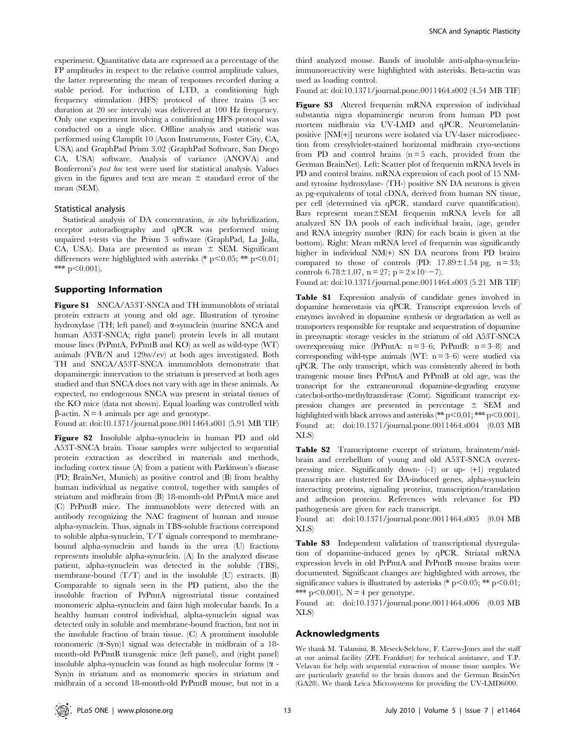experiment. Quantitative data are expressed as a percentage of the FP amplitudes in respect to the relative control amplitude values, the latter representing the mean of responses recorded during a stable period. For induction of LTD, a conditioning high frequency stimulation (HFS) protocol of three trains (3 sec duration at 20 sec intervals) was delivered at 100 Hz frequency. Only one experiment involving a conditioning HFS protocol was conducted on a single slice. Offline analysis and statistic was performed using Clampfit 10 (Axon Instruments, Foster City, CA, USA) and GraphPad Prism 3.02 (GraphPad Software, San Diego CA, USA) software. Analysis of variance (ANOVA) and Bonferroni's post hoc test were used for statistical analysis. Values given in the figures and text are mean  $\pm$  standard error of the mean (SEM).

#### Statistical analysis

Statistical analysis of DA concentration, in situ hybridization, receptor autoradiography and qPCR was performed using unpaired t-tests via the Prism 3 software (GraphPad, La Jolla, CA, USA). Data are presented as mean  $\pm$  SEM. Significant differences were highlighted with asterisks (\* p $<0.05$ ; \*\* p $<0.01$ ; \*\*\*  $p<0.001$ ).

#### Supporting Information

Figure S1 SNCA/A53T-SNCA and TH immunoblots of striatal protein extracts at young and old age. Illustration of tyrosine hydroxylase (TH; left panel) and  $\alpha$ -synuclein (murine SNCA and human A53T-SNCA; right panel) protein levels in all mutant mouse lines (PrPmtA, PrPmtB and KO) as well as wild-type (WT) animals (FVB/N and 129sv/ev) at both ages investigated. Both TH and SNCA/A53T-SNCA immunoblots demonstrate that dopaminergic innervation to the striatum is preserved at both ages studied and that SNCA does not vary with age in these animals. As expected, no endogenous SNCA was present in striatal tissues of the KO mice (data not shown). Equal loading was controlled with  $\beta$ -actin. N = 4 animals per age and genotype.

Found at: doi:10.1371/journal.pone.0011464.s001 (5.91 MB TIF)

Figure S2 Insoluble alpha-synuclein in human PD and old A53T-SNCA brain. Tissue samples were subjected to sequential protein extraction as described in materials and methods, including cortex tissue (A) from a patient with Parkinson's disease (PD; BrainNet, Munich) as positive control and (B) from healthy human individual as negative control, together with samples of striatum and midbrain from (B) 18-month-old PrPmtA mice and (C) PrPmtB mice. The immunoblots were detected with an antibody recognizing the NAC fragment of human and mouse alpha-synuclein. Thus, signals in TBS-soluble fractions correspond to soluble alpha-synuclein, T/T signals correspond to membranebound alpha-synuclein and bands in the urea (U) fractions represents insoluble alpha-synuclein. (A) In the analyzed disease patient, alpha-synuclein was detected in the soluble (TBS), membrane-bound  $(T/T)$  and in the insoluble  $(U)$  extracts.  $(B)$ Comparable to signals seen in the PD patient, also the the insoluble fraction of PrPmtA nigrostriatal tissue contained monomeric alpha-synuclein and faint high molecular bands. In a healthy human control individual, alpha-synuclein signal was detected only in soluble and membrane-bound fraction, but not in the insoluble fraction of brain tissue. (C) A prominent insoluble monomeric  $(\alpha$ -Syn)1 signal was detectable in midbrain of a 18month-old PrPmtB transgenic mice (left panel), and (right panel) insoluble alpha-synuclein was found as high molecular forms  $(\alpha -$ Syn)n in striatum and as monomeric species in striatum and midbrain of a second 18-month-old PrPmtB mouse, but not in a

third analyzed mouse. Bands of insoluble anti-alpha-synucleinimmunoreactivity were highlighted with asterisks. Beta-actin was used as loading control.

Found at: doi:10.1371/journal.pone.0011464.s002 (4.54 MB TIF)

Figure S3 Altered frequenin mRNA expression of individual substantia nigra dopaminergic neuron from human PD post mortem midbrain via UV-LMD and qPCR. Neuromelaninpositive [NM(+)] neurons were isolated via UV-laser microdissection from cresylviolet-stained horizontal midbrain cryo-sections from PD and control brains  $(n=5 \text{ each}, \text{ provided from the})$ German BrainNet). Left: Scatter plot of frequenin mRNA levels in PD and control brains. mRNA expression of each pool of 15 NMand tyrosine hydroxylase- (TH-) positive SN DA neurons is given as pg-equivalents of total cDNA, derived from human SN tissue, per cell (determined via qPCR, standard curve quantification). Bars represent mean $\pm$ SEM frequenin mRNA levels for all analyzed SN DA pools of each individual brain, (age, gender and RNA integrity number (RIN) for each brain is given at the bottom). Right: Mean mRNA level of frequenin was significantly higher in individual NM(+) SN DA neurons from PD brains compared to those of controls (PD:  $17.89 \pm 1.54$  pg, n = 33; controls  $6.78 \pm 1.07$ ,  $n = 27$ ;  $p = 2 \times 10^{(-7)}$ .

Found at: doi:10.1371/journal.pone.0011464.s003 (5.21 MB TIF)

Table S1 Expression analysis of candidate genes involved in dopamine homeostasis via qPCR. Transcript expression levels of enzymes involved in dopamine synthesis or degradation as well as transporters responsible for reuptake and sequestration of dopamine in presynaptic storage vesicles in the striatum of old A53T-SNCA overexpressing mice (PrPmtA:  $n = 3-6$ ; PrPmtB:  $n = 3-8$ ) and corresponding wild-type animals (WT:  $n = 3-6$ ) were studied via qPCR. The only transcript, which was consistently altered in both transgenic mouse lines PrPmtA and PrPmtB at old age, was the transcript for the extraneuronal dopamine-degrading enzyme catechol-ortho-methyltransferase (Comt). Significant transcript expression changes are presented in percentage  $\pm$  SEM and highlighted with black arrows and asterisks (\*\*  $p<0.01$ ; \*\*\*  $p<0.001$ ). Found at: doi:10.1371/journal.pone.0011464.s004 (0.03 MB XLS)

Table S2 Transcriptome excerpt of striatum, brainstem/midbrain and cerebellum of young and old A53T-SNCA overexpressing mice. Significantly down- (-1) or up- (+1) regulated transcripts are clustered for DA-induced genes, alpha-synuclein interacting proteins, signaling proteins, transcription/translation and adhesion proteins. References with relevance for PD pathogenesis are given for each transcript.

Found at: doi:10.1371/journal.pone.0011464.s005 (0.04 MB XLS)

Table S3 Independent validation of transcriptional dysregulation of dopamine-induced genes by qPCR. Striatal mRNA expression levels in old PrPmtA and PrPmtB mouse brains were documented. Significant changes are highlighted with arrows, the significance values is illustrated by asterisks (\* p $\leq 0.05$ ; \*\* p $\leq 0.01$ ; \*\*\* p<0.001).  $N = 4$  per genotype.

Found at: doi:10.1371/journal.pone.0011464.s006 (0.03 MB XLS)

## Acknowledgments

We thank M. Talamini, B. Meseck-Selchow, F. Carew-Jones and the staff at our animal facility (ZFE Frankfurt) for technical assistance, and T.P. Velavan for help with sequential extraction of mouse tissue samples. We are particularly grateful to the brain donors and the German BrainNet (GA28). We thank Leica Microsystems for providing the UV-LMD6000.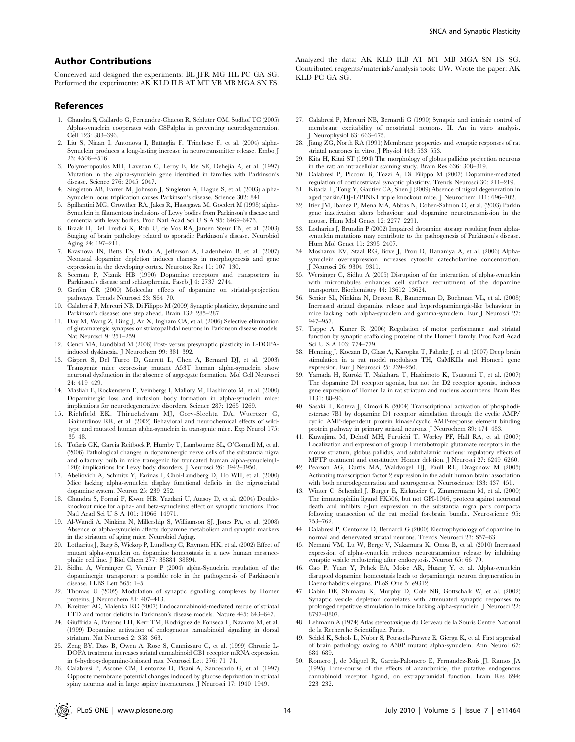## Author Contributions

Conceived and designed the experiments: BL JFR MG HL PC GA SG. Performed the experiments: AK KLD ILB AT MT VB MB MGA SN FS.

## References

- 1. Chandra S, Gallardo G, Fernandez-Chacon R, Schluter OM, Sudhof TC (2005) Alpha-synuclein cooperates with CSPalpha in preventing neurodegeneration. Cell 123: 383–396.
- 2. Liu S, Ninan I, Antonova I, Battaglia F, Trinchese F, et al. (2004) alpha-Synuclein produces a long-lasting increase in neurotransmitter release. Embo J  $23.4506 - 4516$
- 3. Polymeropoulos MH, Lavedan C, Leroy E, Ide SE, Dehejia A, et al. (1997) Mutation in the alpha-synuclein gene identified in families with Parkinson's disease. Science 276: 2045–2047.
- 4. Singleton AB, Farrer M, Johnson J, Singleton A, Hague S, et al. (2003) alpha-Synuclein locus triplication causes Parkinson's disease. Science 302: 841.
- 5. Spillantini MG, Crowther RA, Jakes R, Hasegawa M, Goedert M (1998) alpha-Synuclein in filamentous inclusions of Lewy bodies from Parkinson's disease and dementia with lewy bodies. Proc Natl Acad Sci U S A 95: 6469–6473.
- 6. Braak H, Del Tredici K, Rub U, de Vos RA, Jansen Steur EN, et al. (2003) Staging of brain pathology related to sporadic Parkinson's disease. Neurobiol Aging 24: 197–211.
- 7. Krasnova IN, Betts ES, Dada A, Jefferson A, Ladenheim B, et al. (2007) Neonatal dopamine depletion induces changes in morphogenesis and gene expression in the developing cortex. Neurotox Res 11: 107–130.
- 8. Seeman P, Niznik HB (1990) Dopamine receptors and transporters in Parkinson's disease and schizophrenia. Faseb J 4: 2737–2744.
- 9. Gerfen CR (2000) Molecular effects of dopamine on striatal-projection pathways. Trends Neurosci 23: S64–70.
- 10. Calabresi P, Mercuri NB, Di Filippo M (2009) Synaptic plasticity, dopamine and Parkinson's disease: one step ahead. Brain 132: 285–287.
- 11. Day M, Wang Z, Ding J, An X, Ingham CA, et al. (2006) Selective elimination of glutamatergic synapses on striatopallidal neurons in Parkinson disease models. Nat Neurosci 9: 251–259.
- 12. Cenci MA, Lundblad M (2006) Post- versus presynaptic plasticity in L-DOPAinduced dyskinesia. J Neurochem 99: 381–392.
- 13. Gispert S, Del Turco D, Garrett L, Chen A, Bernard DJ, et al. (2003) Transgenic mice expressing mutant A53T human alpha-synuclein show neuronal dysfunction in the absence of aggregate formation. Mol Cell Neurosci 24: 419–429.
- 14. Masliah E, Rockenstein E, Veinbergs I, Mallory M, Hashimoto M, et al. (2000) Dopaminergic loss and inclusion body formation in alpha-synuclein mice: implications for neurodegenerative disorders. Science 287: 1265–1269.
- 15. Richfield EK, Thiruchelvam MJ, Cory-Slechta DA, Wuertzer C, Gainetdinov RR, et al. (2002) Behavioral and neurochemical effects of wildtype and mutated human alpha-synuclein in transgenic mice. Exp Neurol 175: 35–48.
- 16. Tofaris GK, Garcia Reitbock P, Humby T, Lambourne SL, O'Connell M, et al. (2006) Pathological changes in dopaminergic nerve cells of the substantia nigra and olfactory bulb in mice transgenic for truncated human alpha-synuclein(1- 120): implications for Lewy body disorders. J Neurosci 26: 3942–3950.
- 17. Abeliovich A, Schmitz Y, Farinas I, Choi-Lundberg D, Ho WH, et al. (2000) Mice lacking alpha-synuclein display functional deficits in the nigrostriatal dopamine system. Neuron 25: 239–252.
- 18. Chandra S, Fornai F, Kwon HB, Yazdani U, Atasoy D, et al. (2004) Doubleknockout mice for alpha- and beta-synucleins: effect on synaptic functions. Proc Natl Acad Sci U S A 101: 14966–14971.
- 19. Al-Wandi A, Ninkina N, Millership S, Williamson SJ, Jones PA, et al. (2008) Absence of alpha-synuclein affects dopamine metabolism and synaptic markers in the striatum of aging mice. Neurobiol Aging.
- 20. Lotharius J, Barg S, Wiekop P, Lundberg C, Raymon HK, et al. (2002) Effect of mutant alpha-synuclein on dopamine homeostasis in a new human mesencephalic cell line. J Biol Chem 277: 38884–38894.
- 21. Sidhu A, Wersinger C, Vernier P (2004) alpha-Synuclein regulation of the dopaminergic transporter: a possible role in the pathogenesis of Parkinson's disease. FEBS Lett 565: 1–5.
- 22. Thomas U (2002) Modulation of synaptic signalling complexes by Homer proteins. J Neurochem 81: 407–413.
- 23. Kreitzer AC, Malenka RC (2007) Endocannabinoid-mediated rescue of striatal LTD and motor deficits in Parkinson's disease models. Nature 445: 643–647.
- 24. Giuffrida A, Parsons LH, Kerr TM, Rodriguez de Fonseca F, Navarro M, et al. (1999) Dopamine activation of endogenous cannabinoid signaling in dorsal striatum. Nat Neurosci 2: 358–363.
- 25. Zeng BY, Dass B, Owen A, Rose S, Cannizzaro C, et al. (1999) Chronic L-DOPA treatment increases striatal cannabinoid CB1 receptor mRNA expression in 6-hydroxydopamine-lesioned rats. Neurosci Lett 276: 71–74.
- 26. Calabresi P, Ascone CM, Centonze D, Pisani A, Sancesario G, et al. (1997) Opposite membrane potential changes induced by glucose deprivation in striatal spiny neurons and in large aspiny interneurons. J Neurosci 17: 1940–1949.

Analyzed the data: AK KLD ILB AT MT MB MGA SN FS SG. Contributed reagents/materials/analysis tools: UW. Wrote the paper: AK KLD PC GA SG.

- 27. Calabresi P, Mercuri NB, Bernardi G (1990) Synaptic and intrinsic control of membrane excitability of neostriatal neurons. II. An in vitro analysis. J Neurophysiol 63: 663–675.
- 28. Jiang ZG, North RA (1991) Membrane properties and synaptic responses of rat striatal neurones in vitro. J Physiol 443: 533–553.
- 29. Kita H, Kitai ST (1994) The morphology of globus pallidus projection neurons in the rat: an intracellular staining study. Brain Res 636: 308–319.
- 30. Calabresi P, Picconi B, Tozzi A, Di Filippo M (2007) Dopamine-mediated regulation of corticostriatal synaptic plasticity. Trends Neurosci 30: 211–219.
- 31. Kitada T, Tong Y, Gautier CA, Shen J (2009) Absence of nigral degeneration in aged parkin/DJ-1/PINK1 triple knockout mice. J Neurochem 111: 696–702.
- 32. Itier JM, Ibanez P, Mena MA, Abbas N, Cohen-Salmon C, et al. (2003) Parkin gene inactivation alters behaviour and dopamine neurotransmission in the mouse. Hum Mol Genet 12: 2277–2291.
- 33. Lotharius J, Brundin P (2002) Impaired dopamine storage resulting from alphasynuclein mutations may contribute to the pathogenesis of Parkinson's disease. Hum Mol Genet 11: 2395–2407.
- 34. Mosharov EV, Staal RG, Bove J, Prou D, Hananiya A, et al. (2006) Alphasynuclein overexpression increases cytosolic catecholamine concentration. J Neurosci 26: 9304–9311.
- 35. Wersinger C, Sidhu A (2005) Disruption of the interaction of alpha-synuclein with microtubules enhances cell surface recruitment of the dopamine transporter. Biochemistry 44: 13612–13624.
- 36. Senior SL, Ninkina N, Deacon R, Bannerman D, Buchman VL, et al. (2008) Increased striatal dopamine release and hyperdopaminergic-like behaviour in mice lacking both alpha-synuclein and gamma-synuclein. Eur J Neurosci 27: 947–957.
- 37. Tappe A, Kuner R (2006) Regulation of motor performance and striatal function by synaptic scaffolding proteins of the Homer1 family. Proc Natl Acad Sci U S A 103: 774–779.
- 38. Henning J, Koczan D, Glass A, Karopka T, Pahnke J, et al. (2007) Deep brain stimulation in a rat model modulates TH, CaMKIIa and Homer1 gene expression. Eur J Neurosci 25: 239–250.
- 39. Yamada H, Kuroki T, Nakahara T, Hashimoto K, Tsutsumi T, et al. (2007) The dopamine D1 receptor agonist, but not the D2 receptor agonist, induces gene expression of Homer 1a in rat striatum and nucleus accumbens. Brain Res 1131: 88–96.
- 40. Sasaki T, Kotera J, Omori K (2004) Transcriptional activation of phosphodiesterase 7B1 by dopamine D1 receptor stimulation through the cyclic AMP/ cyclic AMP-dependent protein kinase/cyclic AMP-response element binding protein pathway in primary striatal neurons. J Neurochem 89: 474–483.
- 41. Kuwajima M, Dehoff MH, Furuichi T, Worley PF, Hall RA, et al. (2007) Localization and expression of group I metabotropic glutamate receptors in the mouse striatum, globus pallidus, and subthalamic nucleus: regulatory effects of MPTP treatment and constitutive Homer deletion. J Neurosci 27: 6249–6260.
- 42. Pearson AG, Curtis MA, Waldvogel HJ, Faull RL, Dragunow M (2005) Activating transcription factor 2 expression in the adult human brain: association with both neurodegeneration and neurogenesis. Neuroscience 133: 437–451.
- 43. Winter C, Schenkel J, Burger E, Eickmeier C, Zimmermann M, et al. (2000) The immunophilin ligand FK506, but not GPI-1046, protects against neuronal death and inhibits c-Jun expression in the substantia nigra pars compacta following transection of the rat medial forebrain bundle. Neuroscience 95: 753–762.
- 44. Calabresi P, Centonze D, Bernardi G (2000) Electrophysiology of dopamine in normal and denervated striatal neurons. Trends Neurosci 23: S57–63.
- 45. Nemani VM, Lu W, Berge V, Nakamura K, Onoa B, et al. (2010) Increased expression of alpha-synuclein reduces neurotransmitter release by inhibiting synaptic vesicle reclustering after endocytosis. Neuron 65: 66–79.
- 46. Cao P, Yuan Y, Pehek EA, Moise AR, Huang Y, et al. Alpha-synuclein disrupted dopamine homeostasis leads to dopaminergic neuron degeneration in Caenorhabditis elegans. PLoS One 5: e9312.
- 47. Cabin DE, Shimazu K, Murphy D, Cole NB, Gottschalk W, et al. (2002) Synaptic vesicle depletion correlates with attenuated synaptic responses to prolonged repetitive stimulation in mice lacking alpha-synuclein. J Neurosci 22: 8797–8807.
- 48. Lehmann A (1974) Atlas stereotaxique du Cerveau de la Souris Centre National de la Recherche Scientifique, Paris.
- 49. Seidel K, Schols L, Nuber S, Petrasch-Parwez E, Gierga K, et al. First appraisal of brain pathology owing to A30P mutant alpha-synuclein. Ann Neurol 67: 684–689.
- 50. Romero J, de Miguel R, Garcia-Palomero E, Fernandez-Ruiz JJ, Ramos JA (1995) Time-course of the effects of anandamide, the putative endogenous cannabinoid receptor ligand, on extrapyramidal function. Brain Res 694: 993–939.